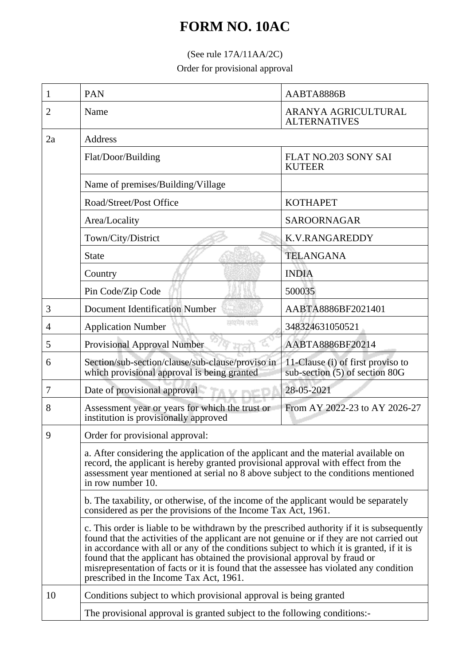## **FORM NO. 10AC**

## (See rule 17A/11AA/2C)

Order for provisional approval

| 1  | <b>PAN</b>                                                                                                                                                                                                                                                                                                                                                                                                                                                                                            | AABTA8886B                                                          |  |
|----|-------------------------------------------------------------------------------------------------------------------------------------------------------------------------------------------------------------------------------------------------------------------------------------------------------------------------------------------------------------------------------------------------------------------------------------------------------------------------------------------------------|---------------------------------------------------------------------|--|
| 2  | Name                                                                                                                                                                                                                                                                                                                                                                                                                                                                                                  | ARANYA AGRICULTURAL<br><b>ALTERNATIVES</b>                          |  |
| 2a | Address                                                                                                                                                                                                                                                                                                                                                                                                                                                                                               |                                                                     |  |
|    | Flat/Door/Building                                                                                                                                                                                                                                                                                                                                                                                                                                                                                    | <b>FLAT NO.203 SONY SAI</b><br><b>KUTEER</b>                        |  |
|    | Name of premises/Building/Village                                                                                                                                                                                                                                                                                                                                                                                                                                                                     |                                                                     |  |
|    | Road/Street/Post Office                                                                                                                                                                                                                                                                                                                                                                                                                                                                               | <b>KOTHAPET</b>                                                     |  |
|    | Area/Locality                                                                                                                                                                                                                                                                                                                                                                                                                                                                                         | SAROORNAGAR                                                         |  |
|    | Town/City/District                                                                                                                                                                                                                                                                                                                                                                                                                                                                                    | <b>K.V.RANGAREDDY</b>                                               |  |
|    | <b>State</b>                                                                                                                                                                                                                                                                                                                                                                                                                                                                                          | <b>TELANGANA</b>                                                    |  |
|    | Country                                                                                                                                                                                                                                                                                                                                                                                                                                                                                               | <b>INDIA</b>                                                        |  |
|    | Pin Code/Zip Code                                                                                                                                                                                                                                                                                                                                                                                                                                                                                     | 500035                                                              |  |
| 3  | <b>Document Identification Number</b>                                                                                                                                                                                                                                                                                                                                                                                                                                                                 | AABTA8886BF2021401                                                  |  |
| 4  | सम्प्रमेश क्याते.<br><b>Application Number</b>                                                                                                                                                                                                                                                                                                                                                                                                                                                        | 348324631050521                                                     |  |
| 5  | Provisional Approval Number                                                                                                                                                                                                                                                                                                                                                                                                                                                                           | AABTA8886BF20214                                                    |  |
| 6  | Section/sub-section/clause/sub-clause/proviso in<br>which provisional approval is being granted                                                                                                                                                                                                                                                                                                                                                                                                       | 11-Clause (i) of first proviso to<br>sub-section (5) of section 80G |  |
| 7  | Date of provisional approval                                                                                                                                                                                                                                                                                                                                                                                                                                                                          | 28-05-2021                                                          |  |
| 8  | Assessment year or years for which the trust or<br>institution is provisionally approved                                                                                                                                                                                                                                                                                                                                                                                                              | From AY 2022-23 to AY 2026-27                                       |  |
| 9  | Order for provisional approval:<br>a. After considering the application of the applicant and the material available on<br>record, the applicant is hereby granted provisional approval with effect from the<br>assessment year mentioned at serial no 8 above subject to the conditions mentioned<br>in row number 10.                                                                                                                                                                                |                                                                     |  |
|    |                                                                                                                                                                                                                                                                                                                                                                                                                                                                                                       |                                                                     |  |
|    | b. The taxability, or otherwise, of the income of the applicant would be separately<br>considered as per the provisions of the Income Tax Act, 1961.                                                                                                                                                                                                                                                                                                                                                  |                                                                     |  |
|    | c. This order is liable to be withdrawn by the prescribed authority if it is subsequently<br>found that the activities of the applicant are not genuine or if they are not carried out<br>in accordance with all or any of the conditions subject to which it is granted, if it is<br>found that the applicant has obtained the provisional approval by fraud or<br>misrepresentation of facts or it is found that the assessee has violated any condition<br>prescribed in the Income Tax Act, 1961. |                                                                     |  |
| 10 | Conditions subject to which provisional approval is being granted                                                                                                                                                                                                                                                                                                                                                                                                                                     |                                                                     |  |
|    | The provisional approval is granted subject to the following conditions:-                                                                                                                                                                                                                                                                                                                                                                                                                             |                                                                     |  |